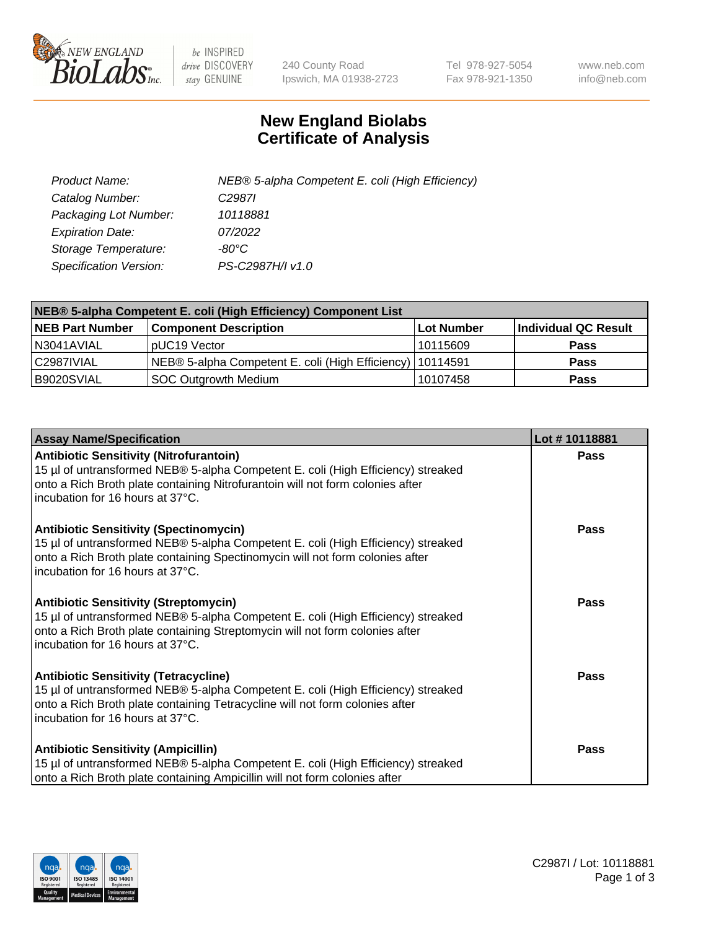

 $be$  INSPIRED drive DISCOVERY stay GENUINE

240 County Road Ipswich, MA 01938-2723 Tel 978-927-5054 Fax 978-921-1350 www.neb.com info@neb.com

## **New England Biolabs Certificate of Analysis**

| Product Name:           | NEB® 5-alpha Competent E. coli (High Efficiency) |
|-------------------------|--------------------------------------------------|
| Catalog Number:         | C <sub>2987</sub>                                |
| Packaging Lot Number:   | 10118881                                         |
| <b>Expiration Date:</b> | 07/2022                                          |
| Storage Temperature:    | -80°C                                            |
| Specification Version:  | PS-C2987H/I v1.0                                 |

| NEB® 5-alpha Competent E. coli (High Efficiency) Component List |                                                             |            |                      |  |
|-----------------------------------------------------------------|-------------------------------------------------------------|------------|----------------------|--|
| <b>NEB Part Number</b>                                          | <b>Component Description</b>                                | Lot Number | Individual QC Result |  |
| N3041AVIAL                                                      | pUC19 Vector                                                | 10115609   | <b>Pass</b>          |  |
| C2987IVIAL                                                      | NEB® 5-alpha Competent E. coli (High Efficiency)   10114591 |            | <b>Pass</b>          |  |
| B9020SVIAL                                                      | <b>SOC Outgrowth Medium</b>                                 | 10107458   | <b>Pass</b>          |  |

| <b>Assay Name/Specification</b>                                                                                                                                                                                                                          | Lot #10118881 |
|----------------------------------------------------------------------------------------------------------------------------------------------------------------------------------------------------------------------------------------------------------|---------------|
| <b>Antibiotic Sensitivity (Nitrofurantoin)</b><br>15 µl of untransformed NEB® 5-alpha Competent E. coli (High Efficiency) streaked<br>onto a Rich Broth plate containing Nitrofurantoin will not form colonies after<br>incubation for 16 hours at 37°C. | Pass          |
| <b>Antibiotic Sensitivity (Spectinomycin)</b><br>15 µl of untransformed NEB® 5-alpha Competent E. coli (High Efficiency) streaked<br>onto a Rich Broth plate containing Spectinomycin will not form colonies after<br>incubation for 16 hours at 37°C.   | Pass          |
| <b>Antibiotic Sensitivity (Streptomycin)</b><br>15 µl of untransformed NEB® 5-alpha Competent E. coli (High Efficiency) streaked<br>onto a Rich Broth plate containing Streptomycin will not form colonies after<br>Incubation for 16 hours at 37°C.     | Pass          |
| <b>Antibiotic Sensitivity (Tetracycline)</b><br>15 µl of untransformed NEB® 5-alpha Competent E. coli (High Efficiency) streaked<br>onto a Rich Broth plate containing Tetracycline will not form colonies after<br>incubation for 16 hours at 37°C.     | Pass          |
| <b>Antibiotic Sensitivity (Ampicillin)</b><br>15 µl of untransformed NEB® 5-alpha Competent E. coli (High Efficiency) streaked<br>onto a Rich Broth plate containing Ampicillin will not form colonies after                                             | Pass          |

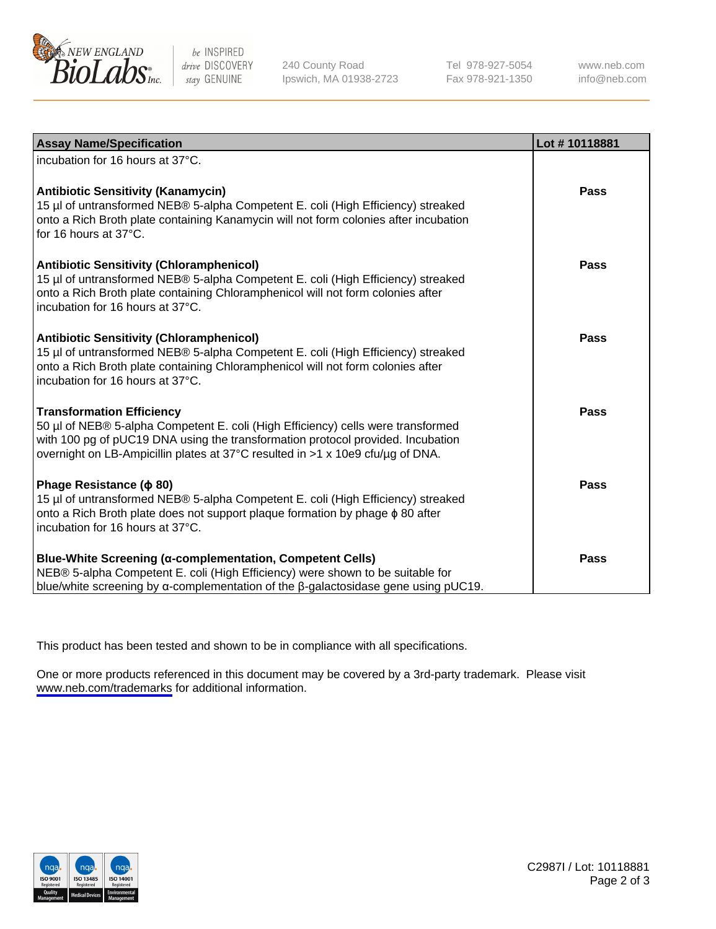

be INSPIRED drive DISCOVERY stay GENUINE

240 County Road Ipswich, MA 01938-2723 Tel 978-927-5054 Fax 978-921-1350

www.neb.com info@neb.com

| <b>Assay Name/Specification</b>                                                                                                                                                                                                                                                           | Lot #10118881 |
|-------------------------------------------------------------------------------------------------------------------------------------------------------------------------------------------------------------------------------------------------------------------------------------------|---------------|
| incubation for 16 hours at 37°C.                                                                                                                                                                                                                                                          |               |
| <b>Antibiotic Sensitivity (Kanamycin)</b><br>15 µl of untransformed NEB® 5-alpha Competent E. coli (High Efficiency) streaked<br>onto a Rich Broth plate containing Kanamycin will not form colonies after incubation<br>for 16 hours at 37°C.                                            | <b>Pass</b>   |
| <b>Antibiotic Sensitivity (Chloramphenicol)</b><br>15 µl of untransformed NEB® 5-alpha Competent E. coli (High Efficiency) streaked<br>onto a Rich Broth plate containing Chloramphenicol will not form colonies after<br>incubation for 16 hours at 37°C.                                | Pass          |
| <b>Antibiotic Sensitivity (Chloramphenicol)</b><br>15 µl of untransformed NEB® 5-alpha Competent E. coli (High Efficiency) streaked<br>onto a Rich Broth plate containing Chloramphenicol will not form colonies after<br>incubation for 16 hours at 37°C.                                | <b>Pass</b>   |
| <b>Transformation Efficiency</b><br>50 µl of NEB® 5-alpha Competent E. coli (High Efficiency) cells were transformed<br>with 100 pg of pUC19 DNA using the transformation protocol provided. Incubation<br>overnight on LB-Ampicillin plates at 37°C resulted in >1 x 10e9 cfu/µg of DNA. | Pass          |
| Phage Resistance ( $\phi$ 80)<br>15 µl of untransformed NEB® 5-alpha Competent E. coli (High Efficiency) streaked<br>onto a Rich Broth plate does not support plaque formation by phage $\phi$ 80 after<br>Incubation for 16 hours at 37°C.                                               | Pass          |
| <b>Blue-White Screening (α-complementation, Competent Cells)</b><br>NEB® 5-alpha Competent E. coli (High Efficiency) were shown to be suitable for<br>blue/white screening by $\alpha$ -complementation of the $\beta$ -galactosidase gene using pUC19.                                   | Pass          |

This product has been tested and shown to be in compliance with all specifications.

One or more products referenced in this document may be covered by a 3rd-party trademark. Please visit <www.neb.com/trademarks>for additional information.